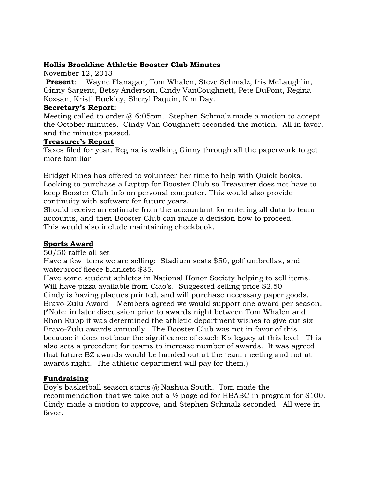## **Hollis Brookline Athletic Booster Club Minutes**

November 12, 2013

**Present**: Wayne Flanagan, Tom Whalen, Steve Schmalz, Iris McLaughlin, Ginny Sargent, Betsy Anderson, Cindy VanCoughnett, Pete DuPont, Regina Kozsan, Kristi Buckley, Sheryl Paquin, Kim Day.

## **Secretary's Report:**

Meeting called to order  $\omega$  6:05pm. Stephen Schmalz made a motion to accept the October minutes. Cindy Van Coughnett seconded the motion. All in favor, and the minutes passed.

## **Treasurer's Report**

Taxes filed for year. Regina is walking Ginny through all the paperwork to get more familiar.

Bridget Rines has offered to volunteer her time to help with Quick books. Looking to purchase a Laptop for Booster Club so Treasurer does not have to keep Booster Club info on personal computer. This would also provide continuity with software for future years.

Should receive an estimate from the accountant for entering all data to team accounts, and then Booster Club can make a decision how to proceed. This would also include maintaining checkbook.

# **Sports Award**

50/50 raffle all set

Have a few items we are selling: Stadium seats \$50, golf umbrellas, and waterproof fleece blankets \$35.

Have some student athletes in National Honor Society helping to sell items. Will have pizza available from Ciao's. Suggested selling price \$2.50 Cindy is having plaques printed, and will purchase necessary paper goods. Bravo-Zulu Award – Members agreed we would support one award per season. (\*Note: in later discussion prior to awards night between Tom Whalen and Rhon Rupp it was determined the athletic department wishes to give out six Bravo-Zulu awards annually. The Booster Club was not in favor of this because it does not bear the significance of coach K's legacy at this level. This also sets a precedent for teams to increase number of awards. It was agreed that future BZ awards would be handed out at the team meeting and not at awards night. The athletic department will pay for them.)

## **Fundraising**

Boy's basketball season starts @ Nashua South. Tom made the recommendation that we take out a  $\frac{1}{2}$  page ad for HBABC in program for \$100. Cindy made a motion to approve, and Stephen Schmalz seconded. All were in favor.